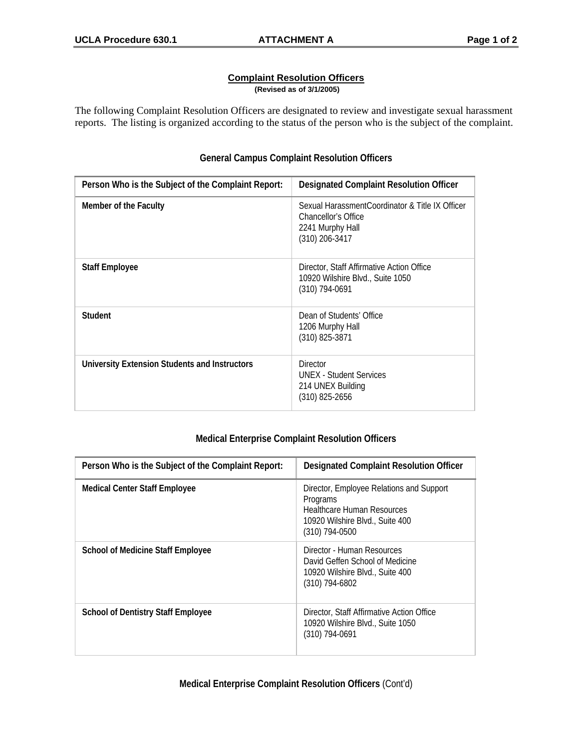## **Complaint Resolution Officers (Revised as of 3/1/2005)**

The following Complaint Resolution Officers are designated to review and investigate sexual harassment reports. The listing is organized according to the status of the person who is the subject of the complaint.

| Person Who is the Subject of the Complaint Report: | <b>Designated Complaint Resolution Officer</b>                                                               |
|----------------------------------------------------|--------------------------------------------------------------------------------------------------------------|
| Member of the Faculty                              | Sexual HarassmentCoordinator & Title IX Officer<br>Chancellor's Office<br>2241 Murphy Hall<br>(310) 206-3417 |
| <b>Staff Employee</b>                              | Director, Staff Affirmative Action Office<br>10920 Wilshire Blvd., Suite 1050<br>$(310)$ 794-0691            |
| Student                                            | Dean of Students' Office<br>1206 Murphy Hall<br>(310) 825-3871                                               |
| University Extension Students and Instructors      | <b>Director</b><br><b>UNEX - Student Services</b><br>214 UNEX Building<br>(310) 825-2656                     |

## **General Campus Complaint Resolution Officers**

## **Medical Enterprise Complaint Resolution Officers**

| Person Who is the Subject of the Complaint Report: | <b>Designated Complaint Resolution Officer</b>                                                                                                 |
|----------------------------------------------------|------------------------------------------------------------------------------------------------------------------------------------------------|
| <b>Medical Center Staff Employee</b>               | Director, Employee Relations and Support<br>Programs<br><b>Healthcare Human Resources</b><br>10920 Wilshire Blvd., Suite 400<br>(310) 794-0500 |
| <b>School of Medicine Staff Employee</b>           | Director - Human Resources<br>David Geffen School of Medicine<br>10920 Wilshire Blvd., Suite 400<br>(310) 794-6802                             |
| <b>School of Dentistry Staff Employee</b>          | Director, Staff Affirmative Action Office<br>10920 Wilshire Blvd., Suite 1050<br>(310) 794-0691                                                |